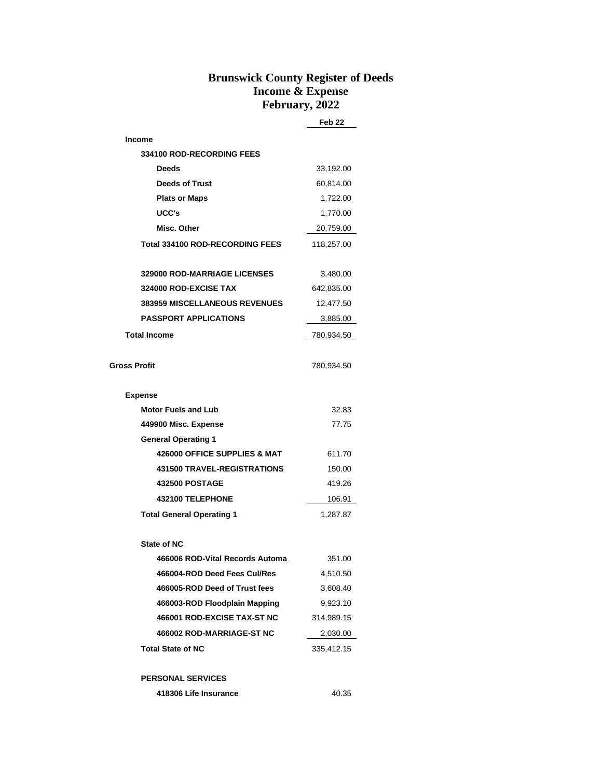## **Brunswick County Register of Deeds Income & Expense February, 2022**

|                                      | Feb 22     |
|--------------------------------------|------------|
| <b>Income</b>                        |            |
| <b>334100 ROD-RECORDING FEES</b>     |            |
| Deeds                                | 33,192.00  |
| <b>Deeds of Trust</b>                | 60,814.00  |
| <b>Plats or Maps</b>                 | 1,722.00   |
| UCC's                                | 1,770.00   |
| Misc. Other                          | 20,759.00  |
| Total 334100 ROD-RECORDING FEES      | 118,257.00 |
| <b>329000 ROD-MARRIAGE LICENSES</b>  | 3,480.00   |
| 324000 ROD-EXCISE TAX                | 642,835.00 |
| <b>383959 MISCELLANEOUS REVENUES</b> | 12,477.50  |
| <b>PASSPORT APPLICATIONS</b>         | 3,885.00   |
| <b>Total Income</b>                  | 780,934.50 |
|                                      |            |
| <b>Gross Profit</b>                  | 780,934.50 |
| <b>Expense</b>                       |            |
| <b>Motor Fuels and Lub</b>           | 32.83      |
| 449900 Misc. Expense                 | 77.75      |
| <b>General Operating 1</b>           |            |
| 426000 OFFICE SUPPLIES & MAT         | 611.70     |
| <b>431500 TRAVEL-REGISTRATIONS</b>   | 150.00     |
| <b>432500 POSTAGE</b>                | 419.26     |
| 432100 TELEPHONE                     | 106.91     |
| <b>Total General Operating 1</b>     | 1,287.87   |
| State of NC                          |            |
| 466006 ROD-Vital Records Automa      | 351.00     |
| 466004-ROD Deed Fees Cul/Res         | 4,510.50   |
| 466005-ROD Deed of Trust fees        | 3,608.40   |
| 466003-ROD Floodplain Mapping        | 9,923.10   |
| 466001 ROD-EXCISE TAX-ST NC          | 314,989.15 |
| 466002 ROD-MARRIAGE-ST NC            | 2,030.00   |
| <b>Total State of NC</b>             | 335,412.15 |
| <b>PERSONAL SERVICES</b>             |            |
| 418306 Life Insurance                | 40.35      |